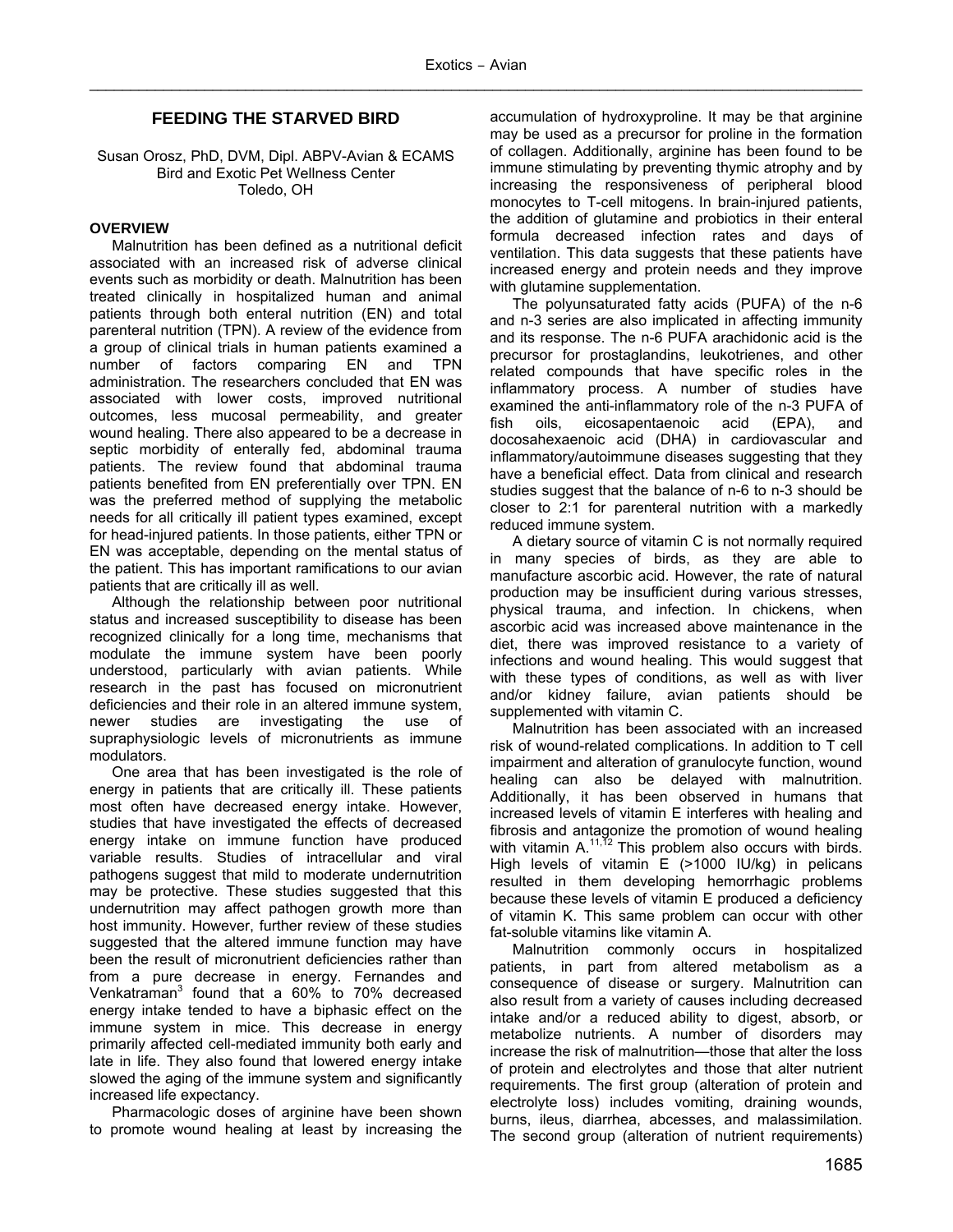# **FEEDING THE STARVED BIRD**

#### Susan Orosz, PhD, DVM, Dipl. ABPV-Avian & ECAMS Bird and Exotic Pet Wellness Center Toledo, OH

#### **OVERVIEW**

Malnutrition has been defined as a nutritional deficit associated with an increased risk of adverse clinical events such as morbidity or death. Malnutrition has been treated clinically in hospitalized human and animal patients through both enteral nutrition (EN) and total parenteral nutrition (TPN). A review of the evidence from a group of clinical trials in human patients examined a number of factors comparing EN and TPN administration. The researchers concluded that EN was associated with lower costs, improved nutritional outcomes, less mucosal permeability, and greater wound healing. There also appeared to be a decrease in septic morbidity of enterally fed, abdominal trauma patients. The review found that abdominal trauma patients benefited from EN preferentially over TPN. EN was the preferred method of supplying the metabolic needs for all critically ill patient types examined, except for head-injured patients. In those patients, either TPN or EN was acceptable, depending on the mental status of the patient. This has important ramifications to our avian patients that are critically ill as well.

Although the relationship between poor nutritional status and increased susceptibility to disease has been recognized clinically for a long time, mechanisms that modulate the immune system have been poorly understood, particularly with avian patients. While research in the past has focused on micronutrient deficiencies and their role in an altered immune system, newer studies are investigating the use of supraphysiologic levels of micronutrients as immune modulators.

One area that has been investigated is the role of energy in patients that are critically ill. These patients most often have decreased energy intake. However, studies that have investigated the effects of decreased energy intake on immune function have produced variable results. Studies of intracellular and viral pathogens suggest that mild to moderate undernutrition may be protective. These studies suggested that this undernutrition may affect pathogen growth more than host immunity. However, further review of these studies suggested that the altered immune function may have been the result of micronutrient deficiencies rather than from a pure decrease in energy. Fernandes and Venkatraman<sup>3</sup> found that a 60% to 70% decreased energy intake tended to have a biphasic effect on the immune system in mice. This decrease in energy primarily affected cell-mediated immunity both early and late in life. They also found that lowered energy intake slowed the aging of the immune system and significantly increased life expectancy.

Pharmacologic doses of arginine have been shown to promote wound healing at least by increasing the accumulation of hydroxyproline. It may be that arginine may be used as a precursor for proline in the formation of collagen. Additionally, arginine has been found to be immune stimulating by preventing thymic atrophy and by increasing the responsiveness of peripheral blood monocytes to T-cell mitogens. In brain-injured patients, the addition of glutamine and probiotics in their enteral formula decreased infection rates and days of ventilation. This data suggests that these patients have increased energy and protein needs and they improve with glutamine supplementation.

The polyunsaturated fatty acids (PUFA) of the n-6 and n-3 series are also implicated in affecting immunity and its response. The n-6 PUFA arachidonic acid is the precursor for prostaglandins, leukotrienes, and other related compounds that have specific roles in the inflammatory process. A number of studies have examined the anti-inflammatory role of the n-3 PUFA of fish oils, eicosapentaenoic acid (EPA), and docosahexaenoic acid (DHA) in cardiovascular and inflammatory/autoimmune diseases suggesting that they have a beneficial effect. Data from clinical and research studies suggest that the balance of n-6 to n-3 should be closer to 2:1 for parenteral nutrition with a markedly reduced immune system.

A dietary source of vitamin C is not normally required in many species of birds, as they are able to manufacture ascorbic acid. However, the rate of natural production may be insufficient during various stresses, physical trauma, and infection. In chickens, when ascorbic acid was increased above maintenance in the diet, there was improved resistance to a variety of infections and wound healing. This would suggest that with these types of conditions, as well as with liver and/or kidney failure, avian patients should be supplemented with vitamin C.

Malnutrition has been associated with an increased risk of wound-related complications. In addition to T cell impairment and alteration of granulocyte function, wound healing can also be delayed with malnutrition. Additionally, it has been observed in humans that increased levels of vitamin E interferes with healing and fibrosis and antagonize the promotion of wound healing with vitamin A.<sup>11,12</sup> This problem also occurs with birds. High levels of vitamin E (>1000 IU/kg) in pelicans resulted in them developing hemorrhagic problems because these levels of vitamin E produced a deficiency of vitamin K. This same problem can occur with other fat-soluble vitamins like vitamin A.

Malnutrition commonly occurs in hospitalized patients, in part from altered metabolism as a consequence of disease or surgery. Malnutrition can also result from a variety of causes including decreased intake and/or a reduced ability to digest, absorb, or metabolize nutrients. A number of disorders may increase the risk of malnutrition—those that alter the loss of protein and electrolytes and those that alter nutrient requirements. The first group (alteration of protein and electrolyte loss) includes vomiting, draining wounds, burns, ileus, diarrhea, abcesses, and malassimilation. The second group (alteration of nutrient requirements)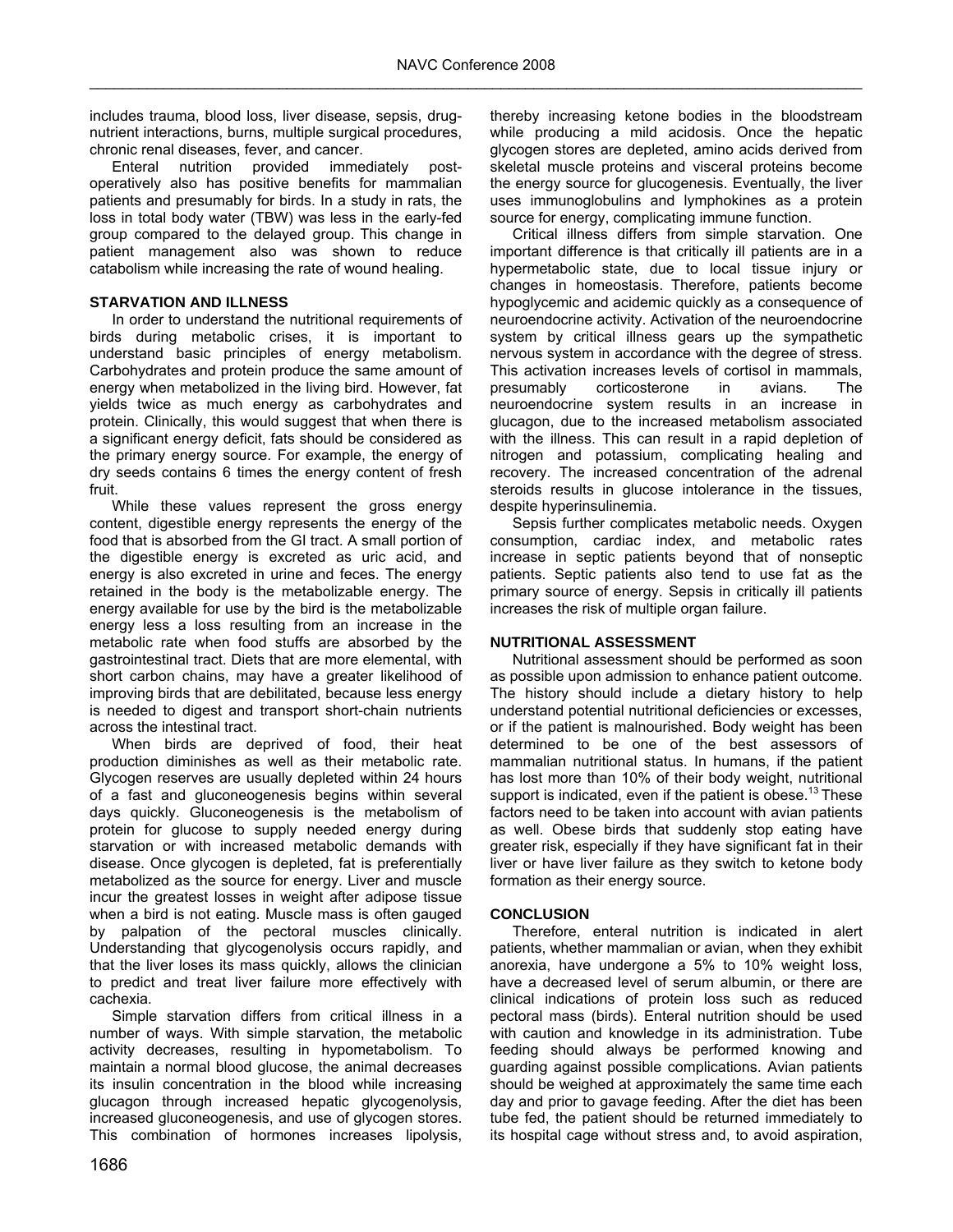includes trauma, blood loss, liver disease, sepsis, drugnutrient interactions, burns, multiple surgical procedures, chronic renal diseases, fever, and cancer.

Enteral nutrition provided immediately postoperatively also has positive benefits for mammalian patients and presumably for birds. In a study in rats, the loss in total body water (TBW) was less in the early-fed group compared to the delayed group. This change in patient management also was shown to reduce catabolism while increasing the rate of wound healing.

# **STARVATION AND ILLNESS**

In order to understand the nutritional requirements of birds during metabolic crises, it is important to understand basic principles of energy metabolism. Carbohydrates and protein produce the same amount of energy when metabolized in the living bird. However, fat yields twice as much energy as carbohydrates and protein. Clinically, this would suggest that when there is a significant energy deficit, fats should be considered as the primary energy source. For example, the energy of dry seeds contains 6 times the energy content of fresh fruit.

While these values represent the gross energy content, digestible energy represents the energy of the food that is absorbed from the GI tract. A small portion of the digestible energy is excreted as uric acid, and energy is also excreted in urine and feces. The energy retained in the body is the metabolizable energy. The energy available for use by the bird is the metabolizable energy less a loss resulting from an increase in the metabolic rate when food stuffs are absorbed by the gastrointestinal tract. Diets that are more elemental, with short carbon chains, may have a greater likelihood of improving birds that are debilitated, because less energy is needed to digest and transport short-chain nutrients across the intestinal tract.

When birds are deprived of food, their heat production diminishes as well as their metabolic rate. Glycogen reserves are usually depleted within 24 hours of a fast and gluconeogenesis begins within several days quickly. Gluconeogenesis is the metabolism of protein for glucose to supply needed energy during starvation or with increased metabolic demands with disease. Once glycogen is depleted, fat is preferentially metabolized as the source for energy. Liver and muscle incur the greatest losses in weight after adipose tissue when a bird is not eating. Muscle mass is often gauged by palpation of the pectoral muscles clinically. Understanding that glycogenolysis occurs rapidly, and that the liver loses its mass quickly, allows the clinician to predict and treat liver failure more effectively with cachexia.

Simple starvation differs from critical illness in a number of ways. With simple starvation, the metabolic activity decreases, resulting in hypometabolism. To maintain a normal blood glucose, the animal decreases its insulin concentration in the blood while increasing glucagon through increased hepatic glycogenolysis, increased gluconeogenesis, and use of glycogen stores. This combination of hormones increases lipolysis, thereby increasing ketone bodies in the bloodstream while producing a mild acidosis. Once the hepatic glycogen stores are depleted, amino acids derived from skeletal muscle proteins and visceral proteins become the energy source for glucogenesis. Eventually, the liver uses immunoglobulins and lymphokines as a protein source for energy, complicating immune function.

Critical illness differs from simple starvation. One important difference is that critically ill patients are in a hypermetabolic state, due to local tissue injury or changes in homeostasis. Therefore, patients become hypoglycemic and acidemic quickly as a consequence of neuroendocrine activity. Activation of the neuroendocrine system by critical illness gears up the sympathetic nervous system in accordance with the degree of stress. This activation increases levels of cortisol in mammals, presumably corticosterone in avians. The neuroendocrine system results in an increase in glucagon, due to the increased metabolism associated with the illness. This can result in a rapid depletion of nitrogen and potassium, complicating healing and recovery. The increased concentration of the adrenal steroids results in glucose intolerance in the tissues, despite hyperinsulinemia.

Sepsis further complicates metabolic needs. Oxygen consumption, cardiac index, and metabolic rates increase in septic patients beyond that of nonseptic patients. Septic patients also tend to use fat as the primary source of energy. Sepsis in critically ill patients increases the risk of multiple organ failure.

# **NUTRITIONAL ASSESSMENT**

Nutritional assessment should be performed as soon as possible upon admission to enhance patient outcome. The history should include a dietary history to help understand potential nutritional deficiencies or excesses, or if the patient is malnourished. Body weight has been determined to be one of the best assessors of mammalian nutritional status. In humans, if the patient has lost more than 10% of their body weight, nutritional support is indicated, even if the patient is obese.<sup>13</sup> These factors need to be taken into account with avian patients as well. Obese birds that suddenly stop eating have greater risk, especially if they have significant fat in their liver or have liver failure as they switch to ketone body formation as their energy source.

# **CONCLUSION**

Therefore, enteral nutrition is indicated in alert patients, whether mammalian or avian, when they exhibit anorexia, have undergone a 5% to 10% weight loss, have a decreased level of serum albumin, or there are clinical indications of protein loss such as reduced pectoral mass (birds). Enteral nutrition should be used with caution and knowledge in its administration. Tube feeding should always be performed knowing and guarding against possible complications. Avian patients should be weighed at approximately the same time each day and prior to gavage feeding. After the diet has been tube fed, the patient should be returned immediately to its hospital cage without stress and, to avoid aspiration,